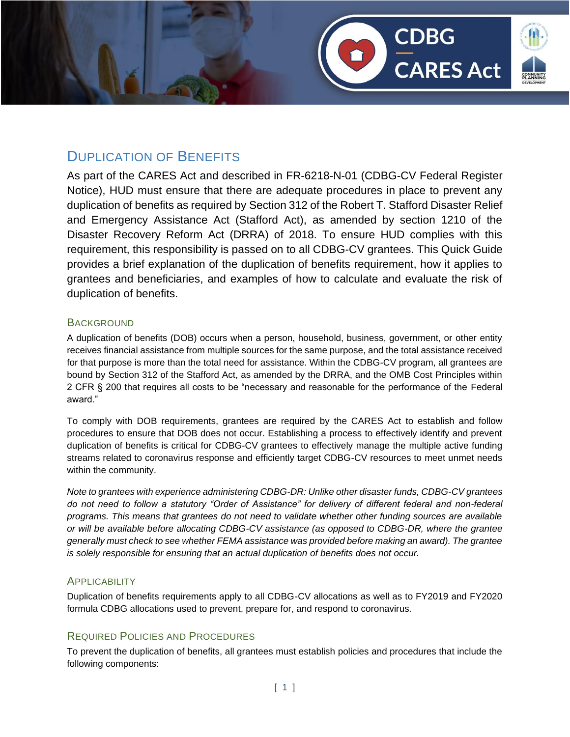

# DUPLICATION OF BENEFITS

As part of the CARES Act and described in FR-6218-N-01 (CDBG-CV Federal Register Notice), HUD must ensure that there are adequate procedures in place to prevent any duplication of benefits as required by Section 312 of the Robert T. Stafford Disaster Relief and Emergency Assistance Act (Stafford Act), as amended by section 1210 of the Disaster Recovery Reform Act (DRRA) of 2018. To ensure HUD complies with this requirement, this responsibility is passed on to all CDBG-CV grantees. This Quick Guide provides a brief explanation of the duplication of benefits requirement, how it applies to grantees and beneficiaries, and examples of how to calculate and evaluate the risk of duplication of benefits.

## **BACKGROUND**

A duplication of benefits (DOB) occurs when a person, household, business, government, or other entity receives financial assistance from multiple sources for the same purpose, and the total assistance received for that purpose is more than the total need for assistance. Within the CDBG-CV program, all grantees are bound by Section 312 of the Stafford Act, as amended by the DRRA, and the OMB Cost Principles within 2 CFR § 200 that requires all costs to be "necessary and reasonable for the performance of the Federal award."

To comply with DOB requirements, grantees are required by the CARES Act to establish and follow procedures to ensure that DOB does not occur. Establishing a process to effectively identify and prevent duplication of benefits is critical for CDBG-CV grantees to effectively manage the multiple active funding streams related to coronavirus response and efficiently target CDBG-CV resources to meet unmet needs within the community.

*Note to grantees with experience administering CDBG-DR: Unlike other disaster funds, CDBG-CV grantees do not need to follow a statutory "Order of Assistance" for delivery of different federal and non-federal programs. This means that grantees do not need to validate whether other funding sources are available or will be available before allocating CDBG-CV assistance (as opposed to CDBG-DR, where the grantee generally must check to see whether FEMA assistance was provided before making an award). The grantee is solely responsible for ensuring that an actual duplication of benefits does not occur.*

# **APPLICABILITY**

Duplication of benefits requirements apply to all CDBG-CV allocations as well as to FY2019 and FY2020 formula CDBG allocations used to prevent, prepare for, and respond to coronavirus.

# REQUIRED POLICIES AND PROCEDURES

To prevent the duplication of benefits, all grantees must establish policies and procedures that include the following components: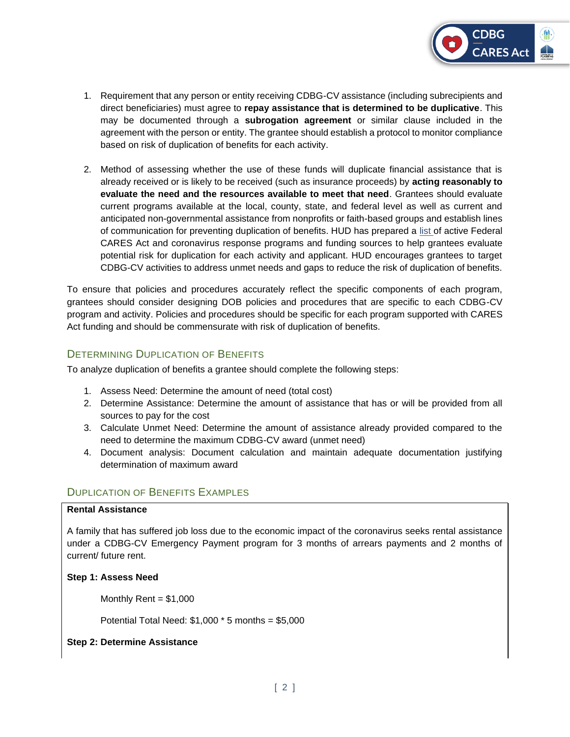

- 1. Requirement that any person or entity receiving CDBG-CV assistance (including subrecipients and direct beneficiaries) must agree to **repay assistance that is determined to be duplicative**. This may be documented through a **subrogation agreement** or similar clause included in the agreement with the person or entity. The grantee should establish a protocol to monitor compliance based on risk of duplication of benefits for each activity.
- 2. Method of assessing whether the use of these funds will duplicate financial assistance that is already received or is likely to be received (such as insurance proceeds) by **acting reasonably to evaluate the need and the resources available to meet that need**. Grantees should evaluate current programs available at the local, county, state, and federal level as well as current and anticipated non-governmental assistance from nonprofits or faith-based groups and establish lines of communication for preventing duplication of benefits. HUD has prepared a [list o](https://files.hudexchange.info/resources/documents/CARES-Act-Programs-CDBG-Awareness-Duplication-Benefits.pdf)f active Federal CARES Act and coronavirus response programs and funding sources to help grantees evaluate potential risk for duplication for each activity and applicant. HUD encourages grantees to target CDBG-CV activities to address unmet needs and gaps to reduce the risk of duplication of benefits.

To ensure that policies and procedures accurately reflect the specific components of each program, grantees should consider designing DOB policies and procedures that are specific to each CDBG-CV program and activity. Policies and procedures should be specific for each program supported with CARES Act funding and should be commensurate with risk of duplication of benefits.

### DETERMINING DUPLICATION OF BENEFITS

To analyze duplication of benefits a grantee should complete the following steps:

- 1. Assess Need: Determine the amount of need (total cost)
- 2. Determine Assistance: Determine the amount of assistance that has or will be provided from all sources to pay for the cost
- 3. Calculate Unmet Need: Determine the amount of assistance already provided compared to the need to determine the maximum CDBG-CV award (unmet need)
- 4. Document analysis: Document calculation and maintain adequate documentation justifying determination of maximum award

### DUPLICATION OF BENEFITS EXAMPLES

#### **Rental Assistance**

A family that has suffered job loss due to the economic impact of the coronavirus seeks rental assistance under a CDBG-CV Emergency Payment program for 3 months of arrears payments and 2 months of current/ future rent.

#### **Step 1: Assess Need**

Monthly Rent =  $$1,000$ 

Potential Total Need: \$1,000 \* 5 months = \$5,000

### **Step 2: Determine Assistance**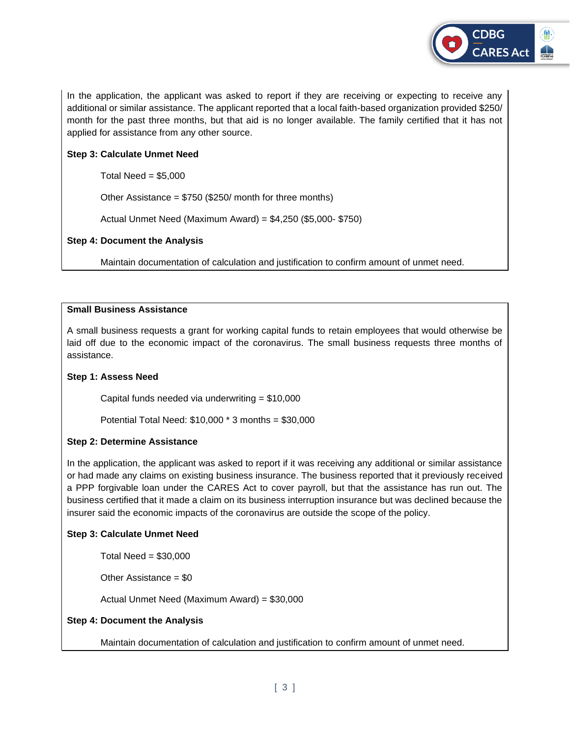

In the application, the applicant was asked to report if they are receiving or expecting to receive any additional or similar assistance. The applicant reported that a local faith-based organization provided \$250/ month for the past three months, but that aid is no longer available. The family certified that it has not applied for assistance from any other source.

#### **Step 3: Calculate Unmet Need**

Total Need =  $$5,000$ 

Other Assistance = \$750 (\$250/ month for three months)

Actual Unmet Need (Maximum Award) = \$4,250 (\$5,000- \$750)

#### **Step 4: Document the Analysis**

Maintain documentation of calculation and justification to confirm amount of unmet need.

#### **Small Business Assistance**

A small business requests a grant for working capital funds to retain employees that would otherwise be laid off due to the economic impact of the coronavirus. The small business requests three months of assistance.

#### **Step 1: Assess Need**

Capital funds needed via underwriting = \$10,000

Potential Total Need: \$10,000 \* 3 months = \$30,000

### **Step 2: Determine Assistance**

In the application, the applicant was asked to report if it was receiving any additional or similar assistance or had made any claims on existing business insurance. The business reported that it previously received a PPP forgivable loan under the CARES Act to cover payroll, but that the assistance has run out. The business certified that it made a claim on its business interruption insurance but was declined because the insurer said the economic impacts of the coronavirus are outside the scope of the policy.

### **Step 3: Calculate Unmet Need**

Total Need = \$30,000

Other Assistance  $= $0$ 

Actual Unmet Need (Maximum Award) = \$30,000

#### **Step 4: Document the Analysis**

Maintain documentation of calculation and justification to confirm amount of unmet need.